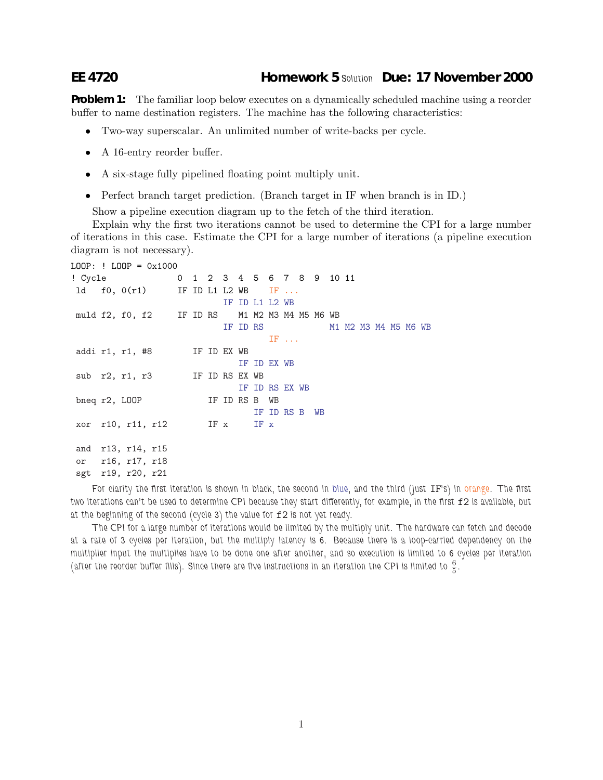## **EE 4720 Homework 5** *Solution* **Due: 17 November 2000**

**Problem 1:** The familiar loop below executes on a dynamically scheduled machine using a reorder buffer to name destination registers. The machine has the following characteristics:

- Two-way superscalar. An unlimited number of write-backs per cycle.
- A 16-entry reorder buffer.
- A six-stage fully pipelined floating point multiply unit.
- Perfect branch target prediction. (Branch target in IF when branch is in ID.)

Show a pipeline execution diagram up to the fetch of the third iteration.

Explain why the first two iterations cannot be used to determine the CPI for a large number of iterations in this case. Estimate the CPI for a large number of iterations (a pipeline execution diagram is not necessary).

```
LOOP: ! LOOP = 0x1000! Cycle 0 1 2 3 4 5 6 7 8 9 10 11
1d f0, 0(r1) IF ID L1 L2 WB IF ...
                       IF ID L1 L2 WB
muld f2, f0, f2 IF ID RS M1 M2 M3 M4 M5 M6 WB
                       IF ID RS M1 M2 M3 M4 M5 M6 WB
                              IF \ldotsaddi r1, r1, #8 IF ID EX WB
                          IF ID EX WB
sub r2, r1, r3 IF ID RS EX WB
                     IF ID RS EX WB
bneq r2, LOOP IF ID RS B WB
                           IF ID RS B WB
xor r10, r11, r12 IF x IF x
and r13, r14, r15
or r16, r17, r18
sgt r19, r20, r21
```
*For clarity the first iteration is shown in black, the second in blue, and the third (just* IF*'s) in orange. The first two iterations can't be used to determine CPI because they start differently, for example, in the first* f2 *is available, but at the beginning of the second (cycle 3) the value for* f2 *is not yet ready.*

*The CPI for a large number of iterations would be limited by the multiply unit. The hardware can fetch and decode at a rate of 3 cycles per iteration, but the multiply latency is 6. Because there is a loop-carried dependency on the multiplier input the multiplies have to be done one after another, and so execution is limited to 6 cycles per iteration* (after the reorder buffer fills). Since there are five instructions in an iteration the CPI is limited to  $\frac{6}{5}$ .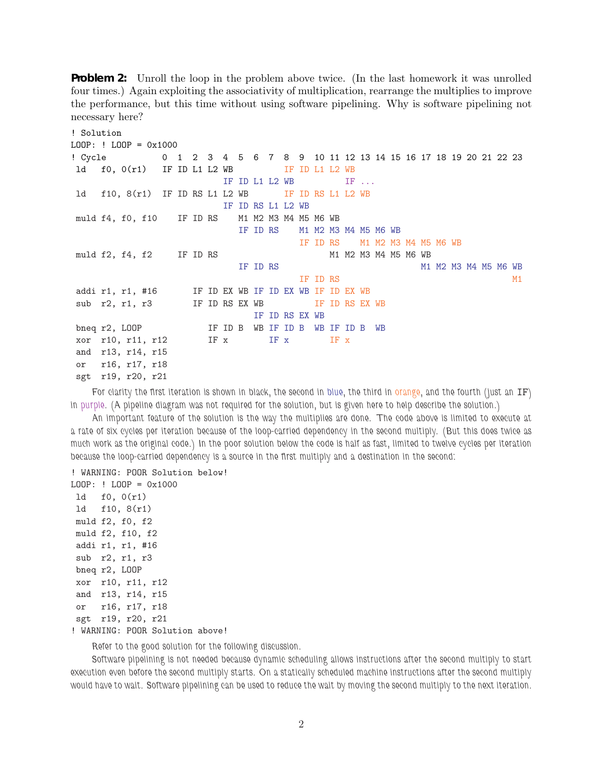**Problem 2:** Unroll the loop in the problem above twice. (In the last homework it was unrolled four times.) Again exploiting the associativity of multiplication, rearrange the multiplies to improve the performance, but this time without using software pipelining. Why is software pipelining not necessary here?

```
! Solution
LOOP: ! LOOP = 0x1000
! Cycle 0 1 2 3 4 5 6 7 8 9 10 11 12 13 14 15 16 17 18 19 20 21 22 23
1d f0, 0(r1) IF ID L1 L2 WB IF ID L1 L2 WB
                      IF ID L1 L2 WB IF \ldots1d f10, 8(r1) IF ID RS L1 L2 WB IF ID RS L1 L2 WB
                IF ID RS L1 L2 WB
muld f4, f0, f10 IF ID RS M1 M2 M3 M4 M5 M6 WB
                       IF ID RS M1 M2 M3 M4 M5 M6 WB
                                 IF ID RS M1 M2 M3 M4 M5 M6 WB
muld f2, f4, f2 IF ID RS M1 M2 M3 M4 M5 M6 WB
                        IF ID RS M1 M2 M3 M4 M5 M6 WB
                                 IF ID RS M1
addi r1, r1, #16 IF ID EX WB IF ID EX WB IF ID EX WB
sub r2, r1, r3 IF ID RS EX WB IF ID RS EX WB
                         IF ID RS EX WB
bneq r2, LOOP IF ID B WB IF ID B WB IF ID B WB
xor r10, r11, r12 IF x IF x IF x
and r13, r14, r15
or r16, r17, r18
sgt r19, r20, r21
```
*For clarity the first iteration is shown in black, the second in blue, the third in orange, and the fourth (just an* IF*) in purple. (A pipeline diagram was not required for the solution, but is given here to help describe the solution.)*

*An important feature of the solution is the way the multiplies are done. The code above is limited to execute at a rate of six cycles per iteration because of the loop-carried dependency in the second multiply. (But this does twice as much work as the original code.) In the poor solution below the code is half as fast, limited to twelve cycles per iteration because the loop-carried dependency is a source in the first multiply and a destination in the second:*

```
! WARNING: POOR Solution below!
LOOP: ! LOOP = 0x1000ld f0, 0(r1)
ld f10, 8(r1)
muld f2, f0, f2
muld f2, f10, f2
addi r1, r1, #16
sub r2, r1, r3
bneq r2, LOOP
xor r10, r11, r12
and r13, r14, r15
or r16, r17, r18
sgt r19, r20, r21
! WARNING: POOR Solution above!
```
*Refer to the good solution for the following discussion.*

*Software pipelining is not needed because dynamic scheduling allows instructions after the second multiply to start execution even before the second multiply starts. On a statically scheduled machine instructions after the second multiply would have to wait. Software pipelining can be used to reduce the wait by moving the second multiply to the next iteration.*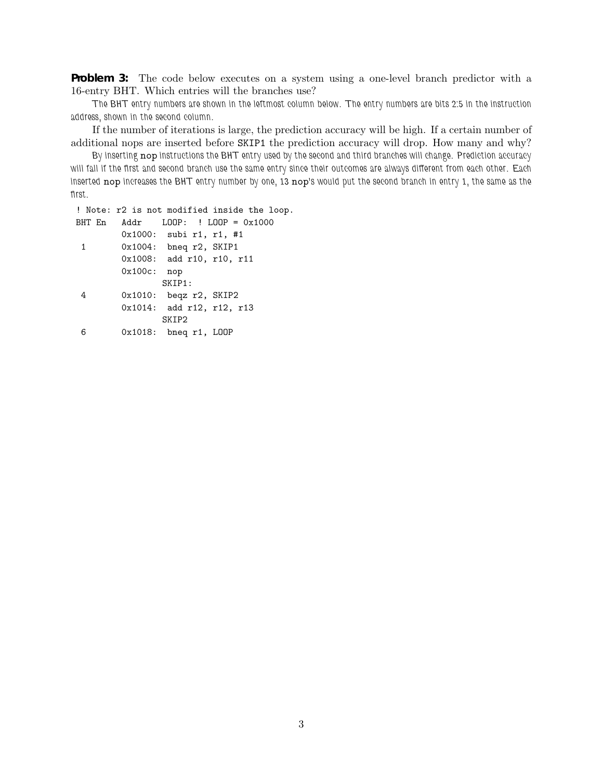**Problem 3:** The code below executes on a system using a one-level branch predictor with a 16-entry BHT. Which entries will the branches use?

*The BHT entry numbers are shown in the leftmost column below. The entry numbers are bits 2:5 in the instruction address, shown in the second column.*

If the number of iterations is large, the prediction accuracy will be high. If a certain number of additional nops are inserted before SKIP1 the prediction accuracy will drop. How many and why?

*By inserting* nop *instructions the BHT entry used by the second and third branches will change. Prediction accuracy will fall if the first and second branch use the same entry since their outcomes are always different from each other. Each inserted* nop *increases the BHT entry number by one, 13* nop*'s would put the second branch in entry 1, the same as the first.*

! Note: r2 is not modified inside the loop. BHT En Addr LOOP: ! LOOP = 0x1000 0x1000: subi r1, r1, #1 1 0x1004: bneq r2, SKIP1 0x1008: add r10, r10, r11 0x100c: nop SKIP1: 4 0x1010: beqz r2, SKIP2 0x1014: add r12, r12, r13 SKIP2 6 0x1018: bneq r1, LOOP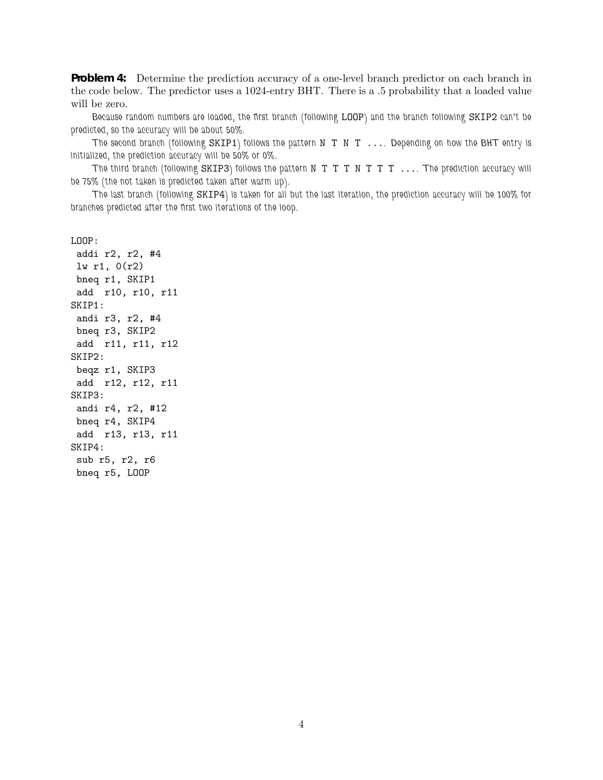**Problem 4:** Determine the prediction accuracy of a one-level branch predictor on each branch in the code below. The predictor uses a 1024-entry BHT. There is a .5 probability that a loaded value will be zero.

*Because random numbers are loaded, the first branch (following* LOOP*) and the branch following* SKIP2 *can't be predicted, so the accuracy will be about 50%.*

*The second branch (following* SKIP1*) follows the pattern* N T N T ...*. Depending on how the BHT entry is initialized, the prediction accuracy will be 50% or 0%.*

*The third branch (following* SKIP3*) follows the pattern* N T T T N T T T ...*. The prediction accuracy will be 75% (the not taken is predicted taken after warm up).*

*The last branch (following* SKIP4*) is taken for all but the last iteration, the prediction accuracy will be 100% for branches predicted after the first two iterations of the loop.*

LOOP:

addi r2, r2, #4 lw r1, 0(r2) bneq r1, SKIP1 add r10, r10, r11 SKIP1: andi r3, r2, #4 bneq r3, SKIP2 add r11, r11, r12 SKIP2: beqz r1, SKIP3 add r12, r12, r11 SKIP3: andi r4, r2, #12 bneq r4, SKIP4 add r13, r13, r11 SKIP4: sub r5, r2, r6 bneq r5, LOOP